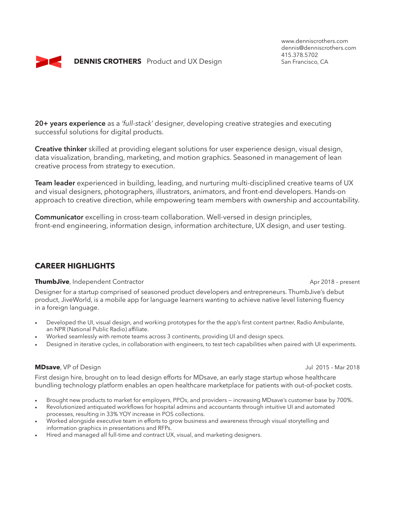

www.denniscrothers.com dennis@denniscrothers.com 415.378.5702<br>San Francisco, CA

**20+ years experience** as a *'full-stack'* designer, developing creative strategies and executing successful solutions for digital products.

**Creative thinker** skilled at providing elegant solutions for user experience design, visual design, data visualization, branding, marketing, and motion graphics. Seasoned in management of lean creative process from strategy to execution.

**Team leader** experienced in building, leading, and nurturing multi-disciplined creative teams of UX and visual designers, photographers, illustrators, animators, and front-end developers. Hands-on approach to creative direction, while empowering team members with ownership and accountability.

**Communicator** excelling in cross-team collaboration. Well-versed in design principles, front-end engineering, information design, information architecture, UX design, and user testing.

# **CAREER HIGHLIGHTS**

#### **ThumbJive**, Independent Contractor **Aproximation** Apr 2018 – present

Designer for a startup comprised of seasoned product developers and entrepreneurs. ThumbJive's debut product, JiveWorld, is a mobile app for language learners wanting to achieve native level listening fluency in a foreign language.

- Developed the UI, visual design, and working prototypes for the the app's first content partner, Radio Ambulante, an NPR (National Public Radio) affiliate.
- Worked seamlessly with remote teams across 3 continents, providing UI and design specs.
- Designed in iterative cycles, in collaboration with engineers, to test tech capabilities when paired with UI experiments.

#### **MDsave**, VP of Design Jul 2015 – Mar 2018

First design hire, brought on to lead design efforts for MDsave, an early stage startup whose healthcare bundling technology platform enables an open healthcare marketplace for patients with out-of-pocket costs.

- Brought new products to market for employers, PPOs, and providers increasing MDsave's customer base by 700%.
- Revolutionized antiquated workflows for hospital admins and accountants through intuitive UI and automated processes, resulting in 33% YOY increase in POS collections.
- Worked alongside executive team in efforts to grow business and awareness through visual storytelling and information graphics in presentations and RFPs.
- Hired and managed all full-time and contract UX, visual, and marketing designers.